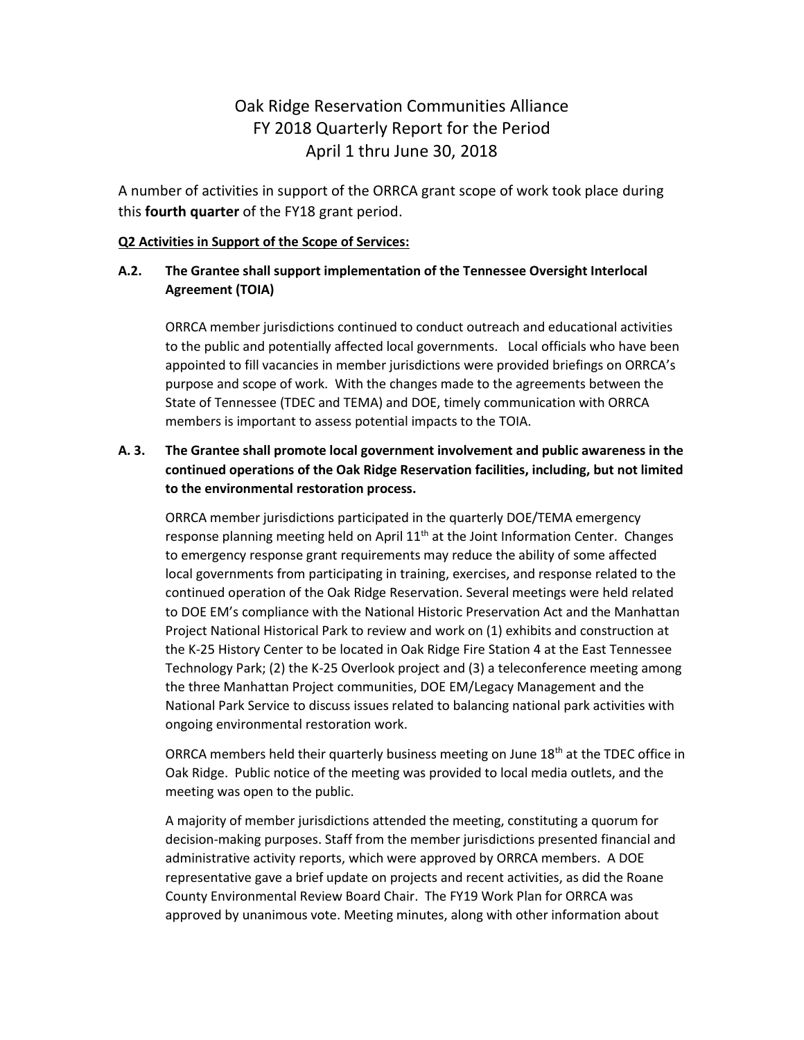# Oak Ridge Reservation Communities Alliance FY 2018 Quarterly Report for the Period April 1 thru June 30, 2018

A number of activities in support of the ORRCA grant scope of work took place during this **fourth quarter** of the FY18 grant period.

#### **Q2 Activities in Support of the Scope of Services:**

## **A.2. The Grantee shall support implementation of the Tennessee Oversight Interlocal Agreement (TOIA)**

ORRCA member jurisdictions continued to conduct outreach and educational activities to the public and potentially affected local governments. Local officials who have been appointed to fill vacancies in member jurisdictions were provided briefings on ORRCA's purpose and scope of work. With the changes made to the agreements between the State of Tennessee (TDEC and TEMA) and DOE, timely communication with ORRCA members is important to assess potential impacts to the TOIA.

# **A. 3. The Grantee shall promote local government involvement and public awareness in the continued operations of the Oak Ridge Reservation facilities, including, but not limited to the environmental restoration process.**

ORRCA member jurisdictions participated in the quarterly DOE/TEMA emergency response planning meeting held on April  $11<sup>th</sup>$  at the Joint Information Center. Changes to emergency response grant requirements may reduce the ability of some affected local governments from participating in training, exercises, and response related to the continued operation of the Oak Ridge Reservation. Several meetings were held related to DOE EM's compliance with the National Historic Preservation Act and the Manhattan Project National Historical Park to review and work on (1) exhibits and construction at the K-25 History Center to be located in Oak Ridge Fire Station 4 at the East Tennessee Technology Park; (2) the K-25 Overlook project and (3) a teleconference meeting among the three Manhattan Project communities, DOE EM/Legacy Management and the National Park Service to discuss issues related to balancing national park activities with ongoing environmental restoration work.

ORRCA members held their quarterly business meeting on June  $18<sup>th</sup>$  at the TDEC office in Oak Ridge. Public notice of the meeting was provided to local media outlets, and the meeting was open to the public.

A majority of member jurisdictions attended the meeting, constituting a quorum for decision-making purposes. Staff from the member jurisdictions presented financial and administrative activity reports, which were approved by ORRCA members. A DOE representative gave a brief update on projects and recent activities, as did the Roane County Environmental Review Board Chair. The FY19 Work Plan for ORRCA was approved by unanimous vote. Meeting minutes, along with other information about